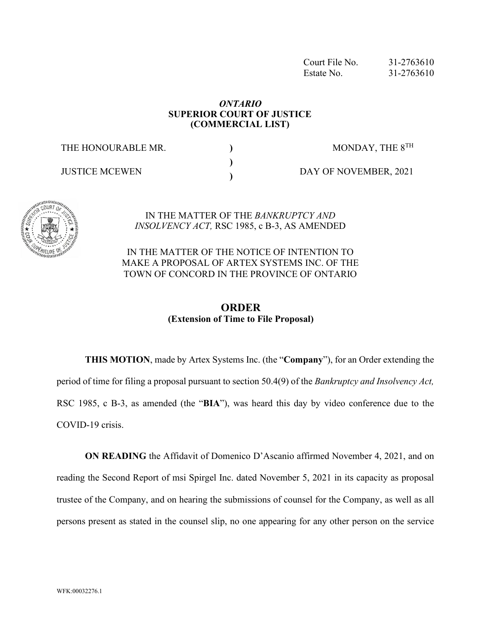Court File No. 31-2763610 Estate No. 31-2763610

## *ONTARIO*  **SUPERIOR COURT OF JUSTICE (COMMERCIAL LIST)**

**) ) )**

THE HONOURABLE MR.

JUSTICE MCEWEN

DAY OF NOVEMBER, 2021

MONDAY, THE  $8^{TH}$ 



#### IN THE MATTER OF THE *BANKRUPTCY AND INSOLVENCY ACT,* RSC 1985, c B-3, AS AMENDED

IN THE MATTER OF THE NOTICE OF INTENTION TO MAKE A PROPOSAL OF ARTEX SYSTEMS INC. OF THE TOWN OF CONCORD IN THE PROVINCE OF ONTARIO

# **ORDER (Extension of Time to File Proposal)**

**THIS MOTION**, made by Artex Systems Inc. (the "**Company**"), for an Order extending the period of time for filing a proposal pursuant to section 50.4(9) of the *Bankruptcy and Insolvency Act,*  RSC 1985, c B-3, as amended (the "**BIA**"), was heard this day by video conference due to the COVID-19 crisis.

**ON READING** the Affidavit of Domenico D'Ascanio affirmed November 4, 2021, and on reading the Second Report of msi Spirgel Inc. dated November 5, 2021 in its capacity as proposal trustee of the Company, and on hearing the submissions of counsel for the Company, as well as all persons present as stated in the counsel slip, no one appearing for any other person on the service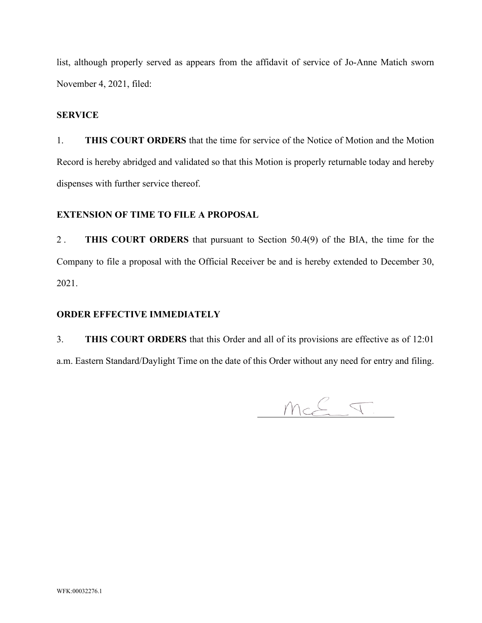list, although properly served as appears from the affidavit of service of Jo-Anne Matich sworn November 4, 2021, filed:

### **SERVICE**

1. **THIS COURT ORDERS** that the time for service of the Notice of Motion and the Motion Record is hereby abridged and validated so that this Motion is properly returnable today and hereby dispenses with further service thereof.

## **EXTENSION OF TIME TO FILE A PROPOSAL**

2 . **THIS COURT ORDERS** that pursuant to Section 50.4(9) of the BIA, the time for the Company to file a proposal with the Official Receiver be and is hereby extended to December 30, 2021.

#### **ORDER EFFECTIVE IMMEDIATELY**

3. **THIS COURT ORDERS** that this Order and all of its provisions are effective as of 12:01 a.m. Eastern Standard/Daylight Time on the date of this Order without any need for entry and filing.

 $mcE \nabla$ .